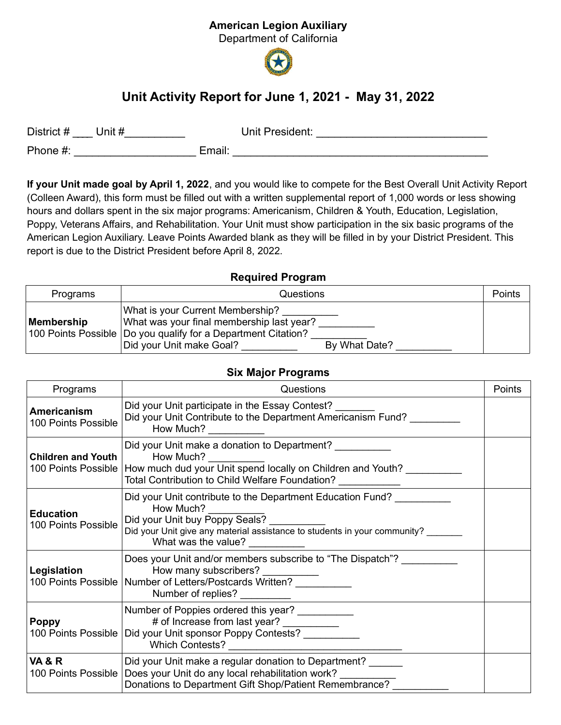## American Legion Auxiliary

Department of California



# Unit Activity Report for June 1, 2021 - May 31, 2022

| District #<br>Unit # | Unit President: |
|----------------------|-----------------|
| Phone #:             | Email:          |

If your Unit made goal by April 1, 2022, and you would like to compete for the Best Overall Unit Activity Report (Colleen Award), this form must be filled out with a written supplemental report of 1,000 words or less showing hours and dollars spent in the six major programs: Americanism, Children & Youth, Education, Legislation, Poppy, Veterans Affairs, and Rehabilitation. Your Unit must show participation in the six basic programs of the American Legion Auxiliary. Leave Points Awarded blank as they will be filled in by your District President. This report is due to the District President before April 8, 2022.

#### Required Program

| Programs   | Questions                                                                                                                                                                                     | Points |
|------------|-----------------------------------------------------------------------------------------------------------------------------------------------------------------------------------------------|--------|
| Membership | What is your Current Membership?<br>What was your final membership last year?<br>100 Points Possible   Do you qualify for a Department Citation?<br>Did your Unit make Goal?<br>By What Date? |        |

#### Six Major Programs

| Programs                                  | Questions                                                                                                                                                                                                     | Points |
|-------------------------------------------|---------------------------------------------------------------------------------------------------------------------------------------------------------------------------------------------------------------|--------|
| <b>Americanism</b><br>100 Points Possible | Did your Unit participate in the Essay Contest?<br>Did your Unit Contribute to the Department Americanism Fund?<br>How Much?                                                                                  |        |
| <b>Children and Youth</b>                 | Did your Unit make a donation to Department?<br>How Much?<br>100 Points Possible How much dud your Unit spend locally on Children and Youth?<br>Total Contribution to Child Welfare Foundation?               |        |
| <b>Education</b><br>100 Points Possible   | Did your Unit contribute to the Department Education Fund?<br>How Much?<br>Did your Unit buy Poppy Seals?<br>Did your Unit give any material assistance to students in your community?<br>What was the value? |        |
| Legislation                               | Does your Unit and/or members subscribe to "The Dispatch"?<br>How many subscribers?<br>100 Points Possible   Number of Letters/Postcards Written?<br>Number of replies?                                       |        |
| <b>Poppy</b><br>100 Points Possible       | Number of Poppies ordered this year? __________<br># of Increase from last year? __________<br>Did your Unit sponsor Poppy Contests? __________<br>Which Contests?                                            |        |
| <b>VA &amp; R</b><br>100 Points Possible  | Did your Unit make a regular donation to Department?<br>Does your Unit do any local rehabilitation work?<br>Donations to Department Gift Shop/Patient Remembrance?                                            |        |